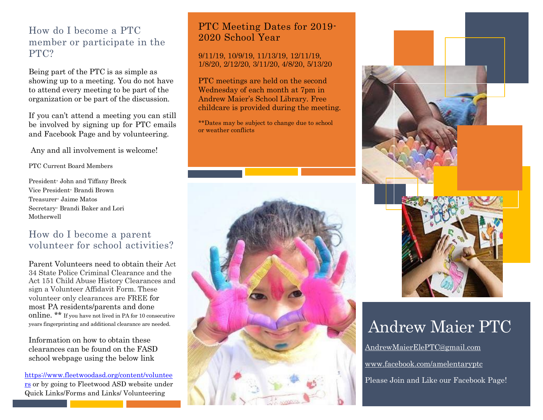### How do I become a PTC member or participate in the PTC?

Being part of the PTC is as simple as showing up to a meeting. You do not have to attend every meeting to be part of the organization or be part of the discussion.

If you can't attend a meeting you can still be involved by signing up for PTC emails and Facebook Page and by volunteering.

Any and all involvement is welcome!

PTC Current Board Members

President- John and Tiffany Breck Vice President- Brandi Brown Treasurer- Jaime Matos Secretary- Brandi Baker and Lori Motherwell

### How do I become a parent volunteer for school activities?

Parent Volunteers need to obtain their Act 34 State Police Criminal Clearance and the Act 151 Child Abuse History Clearances and sign a Volunteer Affidavit Form. These volunteer only clearances are FREE for most PA residents/parents and done online. \*\* If you have not lived in PA for 10 consecutive years fingerprinting and additional clearance are needed.

Information on how to obtain these clearances can be found on the FASD school webpage using the below link

[https://www.fleetwoodasd.org/content/voluntee](https://www.fleetwoodasd.org/content/volunteers) [rs](https://www.fleetwoodasd.org/content/volunteers) or by going to Fleetwood ASD website under Quick Links/Forms and Links/ Volunteering

### PTC Meeting Dates for 2019- 2020 School Year

#### 9/11/19, 10/9/19, 11/13/19, 12/11/19, 1/8/20, 2/12/20, 3/11/20, 4/8/20, 5/13/20

PTC meetings are held on the second Wednesday of each month at 7pm in Andrew Maier's School Library. Free childcare is provided during the meeting.

\*\*Dates may be subject to change due to school or weather conflicts





## Andrew Maier PTC

[AndrewMaierElePTC@gmail.com](mailto:AndrewMaierElePTC@gmail.com) [www.facebook.com/amelentaryptc](http://www.facebook.com/amelentaryptc) Please Join and Like our Facebook Page!